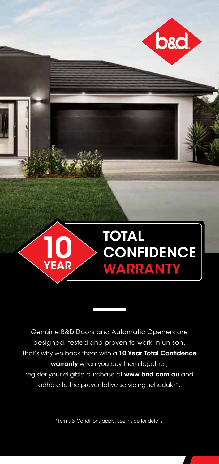

Genuine B&D Doors and Automatic Openers are designed, tested and proven to work in unison. That's why we back them with a 10 Year Total Confidence warranty when you buy them together, register your eligible purchase at www.bnd.com.au and adhere to the preventative servicing schedule\*.

\*Terms & Conditions apply. See inside for details.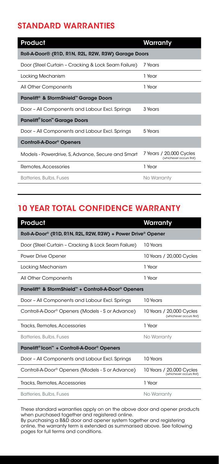## STANDARD WARRANTIES

| Product                                                       | Warranty                                            |  |
|---------------------------------------------------------------|-----------------------------------------------------|--|
| Roll-A-Door® (R1D, R1N, R2L, R2W, R3W) Garage Doors           |                                                     |  |
| Door (Steel Curtain - Cracking & Lock Seam Failure)           | 7 Years                                             |  |
| Locking Mechanism                                             | 1 Year                                              |  |
| All Other Components                                          | 1 Year                                              |  |
| Panelift <sup>®</sup> & StormShield <sup>™</sup> Garage Doors |                                                     |  |
| Door - All Components and Labour Excl. Springs                | 3 Years                                             |  |
| Paneliff <sup>®</sup> Icon <sup>™</sup> Garage Doors          |                                                     |  |
| Door - All Components and Labour Excl. Springs                | 5 Years                                             |  |
| Controll-A-Door <sup>®</sup> Openers                          |                                                     |  |
| Models - Powerdrive, S, Advance, Secure and Smart             | 7 Years / 20,000 Cycles<br>(whichever occurs first) |  |
| Remotes, Accessories                                          | 1 Year                                              |  |
| Batteries, Bulbs, Fuses                                       | No Warranty                                         |  |

# 10 YEAR TOTAL CONFIDENCE WARRANTY

| Product                                                         | Warranty                                             |  |  |
|-----------------------------------------------------------------|------------------------------------------------------|--|--|
| Roll-A-Door® (R1D, R1N, R2L, R2W, R3W) + Power Drive® Opener    |                                                      |  |  |
| Door (Steel Curtain - Cracking & Lock Seam Failure)             | 10 Years                                             |  |  |
| Power Drive Opener                                              | 10 Years / 20,000 Cycles                             |  |  |
| Locking Mechanism                                               | 1 Year                                               |  |  |
| All Other Components                                            | 1 Year                                               |  |  |
| Panelift <sup>®</sup> & StormShield™ + Controll-A-Door® Openers |                                                      |  |  |
| Door - All Components and Labour Excl. Springs                  | 10 Years                                             |  |  |
| Controll-A-Door <sup>®</sup> Openers (Models - S or Advance)    | 10 Years / 20,000 Cycles<br>(whichever occurs first) |  |  |
| Tracks, Remotes, Accessories                                    | 1 Year                                               |  |  |
| <b>Batteries, Bulbs, Fuses</b>                                  | No Warranty                                          |  |  |
| Paneliff®lcon™ + Controll-A-Door® Openers                       |                                                      |  |  |
| Door - All Components and Labour Excl. Springs                  | 10 Years                                             |  |  |
| Controll-A-Door <sup>®</sup> Openers (Models - S or Advance)    | 10 Years / 20,000 Cycles<br>(whichever occurs first) |  |  |
| Tracks, Remotes, Accessories                                    | 1 Year                                               |  |  |
| Batteries, Bulbs, Fuses                                         | No Warranty                                          |  |  |

These standard warranties apply on on the above door and opener products when purchased together and registered online.

By purchasing a B&D door and opener system together and registering online, the warranty term is extended as summarised above. See following pages for full terms and conditions.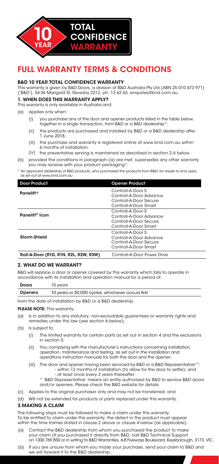

## FULL WARRANTY TERMS & CONDITIONS

#### B&D 10 YEAR TOTAL CONFIDENCE WARRANTY

This warranty is given by B&D Doors, a division of B&D Australia Pty Ltd (ABN 25 010 473 971) ('B&D'), 34-36 Marigold St, Revesby 2212, ph. 13 62 63, enquiries@bnd.com.au.

#### 1. WHEN DOES THIS WARRANTY APPLY?

This warranty is only available in Australia and:

- (a) applies only when:
	- (i) you purchase any of the door and opener products listed in the table below, together in a single transaction, from B&D or a B&D dealership\*;
	- (ii) the products are purchased and installed by B&D or a B&D dealership after 1 June 2018;
	- (iii) the purchase and warranty is registered online at www.bnd.com.au within 6 months of installation;
	- (iv) the preventative serving is maintained as described in section 2.iii below.
- (b) provided the conditions in paragraph (a) are met, supersedes any other warranty you may receive with your product packaging\*.
- \* An approved dealership of B&D products, who purchased the products from B&D, for resale to end users, as set out at www.bnd.com.au

| <b>Door Product</b>                   | <b>Opener Product</b>                                                                           |
|---------------------------------------|-------------------------------------------------------------------------------------------------|
| <b>Panelift®</b>                      | Controll-A-Door S<br>Controll-A-Door Advance<br>Controll-A-Door Secure<br>Controll-A-Door Smart |
| Panelift <sup>®</sup> Icon            | Controll-A-Door S<br>Controll-A-Door Advance<br>Controll-A-Door Secure<br>Controll-A-Door Smart |
| Storm-Shield                          | Controll-A-Door S<br>Controll-A-Door Advance<br>Controll-A-Door Secure<br>Controll-A-Door Smart |
| Roll-A-Door (R1D, R1N, R2L, R2W, R3W) | Controll-A-Door Power Drive                                                                     |

### 2. WHAT DO WE WARRANT?

B&D will replace a door or opener covered by this warranty which fails to operate in accordance with its installation and operation manual for a period of:

| <b>Doors</b> | 10 vears                                          |
|--------------|---------------------------------------------------|
| Openers      | 10 years or 20,000 cycles, whichever occurs first |

from the date of installation by B&D or a B&D dealership.

#### PLEASE NOTE: This warranty:

- $(n)$ Is in addition to any statutory, non-excludable guarantees or warranty rights and remedies under the law (see section 6 below);
- (b) Is subject to:
	- (i) The limited warranty for certain parts as set out in section 4 and the exclusions in section 5;
	- (ii) You complying with the manufacturer's instructions concerning installation, operation, maintenance and testing, as set out in the installation and operations instruction manuals for both the door and the opener;
	- (iii) The door and opener having been serviced by B&D or a B&D Representative\*\*, - within 12 months of installation (to allow for the door to settle); and
		- at least once every 2 years thereafter.
		- \* 'B&D Representative' means an entity authorised by B&D to service B&D doors and/or openers. Please check the B&D website for details.
- (c) Applies to the original purchaser only and may not be transferred; and
- (d) Will not be extended for products or parts replaced under this warranty.

#### 3.MAKING A CLAIM

The following steps must be followed to make a claim under this warranty. To be entitled to claim under this warranty, the defect in the product must appear within the time frames stated in clause 2 above or clause 4 below (as applicable).

- $(a)$ Contact the B&D dealership from whom you purchased the product to make your claim (if you purchased it directly from B&D, call B&D Technical Support on 1300 769 850 or in writing to B&D Warranties, 6-8 Fiveways Boulevard, Keysborough, 3173, VIC.
- (b) If you are unsure from whom you made your purchase, send your claim to B&D and we will forward it to the B&D dealership